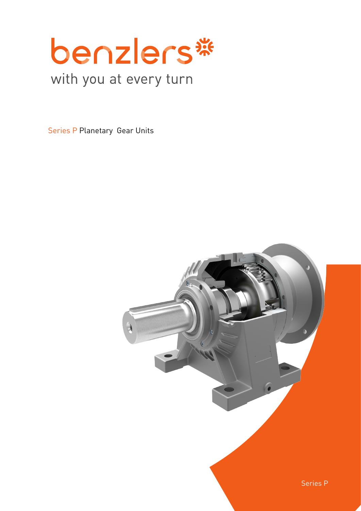

# with you at every turn

Series P Planetary Gear Units

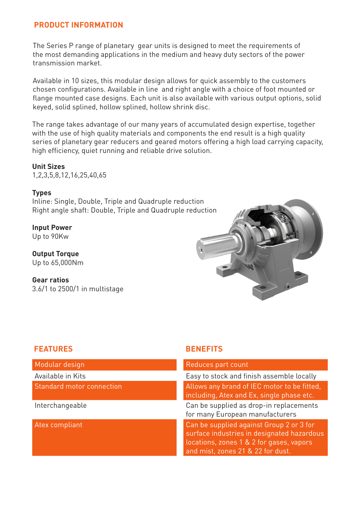# **PRODUCT INFORMATION**

The Series P range of planetary gear units is designed to meet the requirements of the most demanding applications in the medium and heavy duty sectors of the power transmission market.

Available in 10 sizes, this modular design allows for quick assembly to the customers chosen configurations. Available in line and right angle with a choice of foot mounted or flange mounted case designs. Each unit is also available with various output options, solid keyed, solid splined, hollow splined, hollow shrink disc.

The range takes advantage of our many years of accumulated design expertise, together with the use of high quality materials and components the end result is a high quality series of planetary gear reducers and geared motors offering a high load carrying capacity, high efficiency, quiet running and reliable drive solution.

### **Unit Sizes**

1,2,3,5,8,12,16,25,40,65

#### **Types**

Inline: Single, Double, Triple and Quadruple reduction Right angle shaft: Double, Triple and Quadruple reduction

**Input Power** Up to 90Kw

**Output Torque** Up to 65,000Nm

**Gear ratios** 3.6/1 to 2500/1 in multistage



#### **FEATURES BENEFITS**

Modular design

Available in Kits

Standard motor connection

Interchangeable

Atex compliant

| Reduces part count                                                                                                                                                      |
|-------------------------------------------------------------------------------------------------------------------------------------------------------------------------|
| Easy to stock and finish assemble locally                                                                                                                               |
| Allows any brand of IEC motor to be fitted,<br>including, Atex and Ex, single phase etc.                                                                                |
| Can be supplied as drop-in replacements<br>for many European manufacturers                                                                                              |
| Can be supplied against Group 2 or 3 for<br>surface industries in designated hazardous<br>locations, zones 1 & 2 for gases, vapors<br>and mist, zones 21 & 22 for dust. |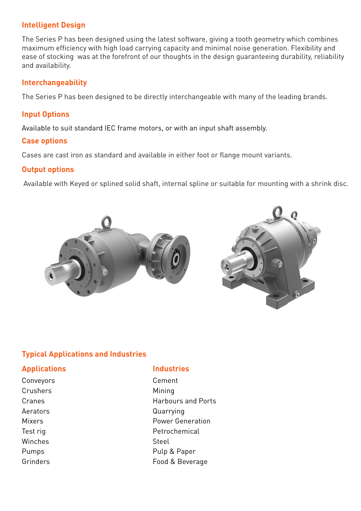## **Intelligent Design**

The Series P has been designed using the latest software, giving a tooth geometry which combines maximum efficiency with high load carrying capacity and minimal noise generation. Flexibility and ease of stocking was at the forefront of our thoughts in the design guaranteeing durability, reliability and availability.

#### **Interchangeability**

The Series P has been designed to be directly interchangeable with many of the leading brands.

### **Input Options**

Available to suit standard IEC frame motors, or with an input shaft assembly.

#### **Case options**

Cases are cast iron as standard and available in either foot or flange mount variants.

#### **Output options**

Available with Keyed or splined solid shaft, internal spline or suitable for mounting with a shrink disc.



## **Typical Applications and Industries**

## **Applications Industries**

Conveyors Cement Crushers Mining Winches Steel

Cranes **Harbours** and Ports Aerators **Quarrying** Mixers **Power Generation** Test rig **Petrochemical** Pumps Pumps Pulp & Paper Grinders **Food & Beverage**